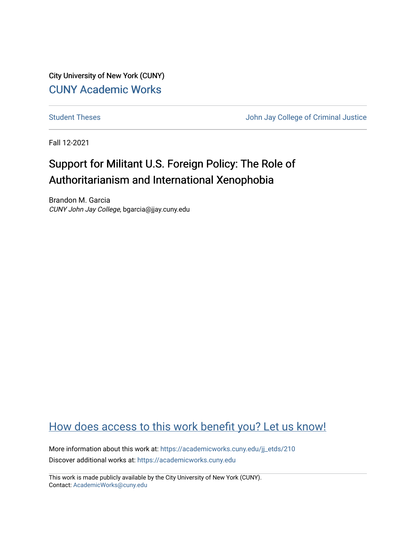City University of New York (CUNY) [CUNY Academic Works](https://academicworks.cuny.edu/) 

[Student Theses](https://academicworks.cuny.edu/jj_etds) **Student Theses** John Jay College of Criminal Justice

Fall 12-2021

# Support for Militant U.S. Foreign Policy: The Role of Authoritarianism and International Xenophobia

Brandon M. Garcia CUNY John Jay College, bgarcia@jjay.cuny.edu

## [How does access to this work benefit you? Let us know!](http://ols.cuny.edu/academicworks/?ref=https://academicworks.cuny.edu/jj_etds/210)

More information about this work at: [https://academicworks.cuny.edu/jj\\_etds/210](https://academicworks.cuny.edu/jj_etds/210)  Discover additional works at: [https://academicworks.cuny.edu](https://academicworks.cuny.edu/?)

This work is made publicly available by the City University of New York (CUNY). Contact: [AcademicWorks@cuny.edu](mailto:AcademicWorks@cuny.edu)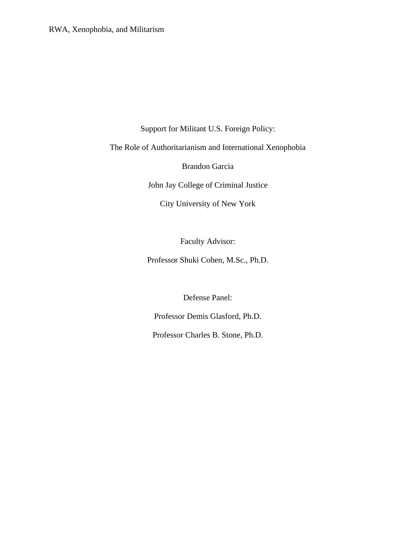Support for Militant U.S. Foreign Policy:

The Role of Authoritarianism and International Xenophobia

Brandon Garcia

John Jay College of Criminal Justice

City University of New York

Faculty Advisor:

Professor Shuki Cohen, M.Sc., Ph.D.

Defense Panel:

Professor Demis Glasford, Ph.D.

Professor Charles B. Stone, Ph.D.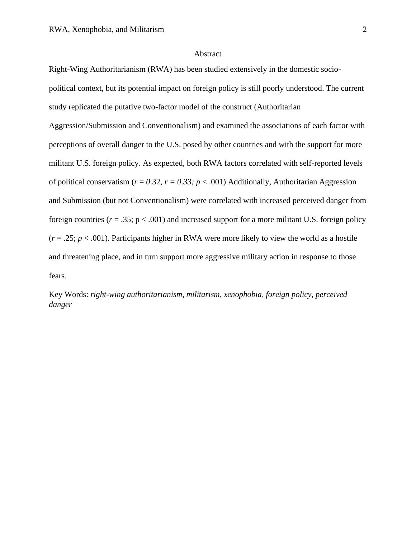#### Abstract

Right-Wing Authoritarianism (RWA) has been studied extensively in the domestic socio-

political context, but its potential impact on foreign policy is still poorly understood. The current study replicated the putative two-factor model of the construct (Authoritarian

Aggression/Submission and Conventionalism) and examined the associations of each factor with perceptions of overall danger to the U.S. posed by other countries and with the support for more militant U.S. foreign policy. As expected, both RWA factors correlated with self-reported levels of political conservatism ( $r = 0.32$ ,  $r = 0.33$ ;  $p < .001$ ) Additionally, Authoritarian Aggression and Submission (but not Conventionalism) were correlated with increased perceived danger from foreign countries ( $r = .35$ ;  $p < .001$ ) and increased support for a more militant U.S. foreign policy  $(r = .25; p < .001)$ . Participants higher in RWA were more likely to view the world as a hostile and threatening place, and in turn support more aggressive military action in response to those fears.

Key Words: *right-wing authoritarianism, militarism, xenophobia, foreign policy, perceived danger*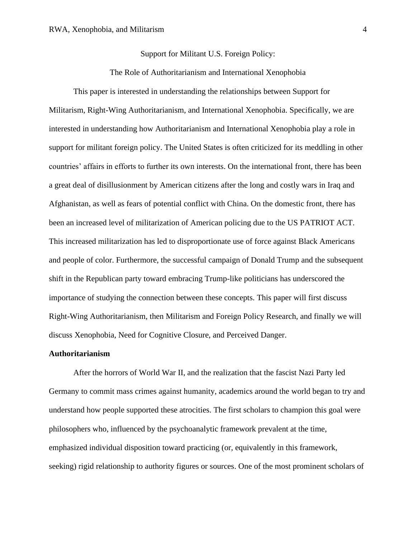#### Support for Militant U.S. Foreign Policy:

The Role of Authoritarianism and International Xenophobia

This paper is interested in understanding the relationships between Support for Militarism, Right-Wing Authoritarianism, and International Xenophobia. Specifically, we are interested in understanding how Authoritarianism and International Xenophobia play a role in support for militant foreign policy. The United States is often criticized for its meddling in other countries' affairs in efforts to further its own interests. On the international front, there has been a great deal of disillusionment by American citizens after the long and costly wars in Iraq and Afghanistan, as well as fears of potential conflict with China. On the domestic front, there has been an increased level of militarization of American policing due to the US PATRIOT ACT. This increased militarization has led to disproportionate use of force against Black Americans and people of color. Furthermore, the successful campaign of Donald Trump and the subsequent shift in the Republican party toward embracing Trump-like politicians has underscored the importance of studying the connection between these concepts. This paper will first discuss Right-Wing Authoritarianism, then Militarism and Foreign Policy Research, and finally we will discuss Xenophobia, Need for Cognitive Closure, and Perceived Danger.

#### **Authoritarianism**

After the horrors of World War II, and the realization that the fascist Nazi Party led Germany to commit mass crimes against humanity, academics around the world began to try and understand how people supported these atrocities. The first scholars to champion this goal were philosophers who, influenced by the psychoanalytic framework prevalent at the time, emphasized individual disposition toward practicing (or, equivalently in this framework, seeking) rigid relationship to authority figures or sources. One of the most prominent scholars of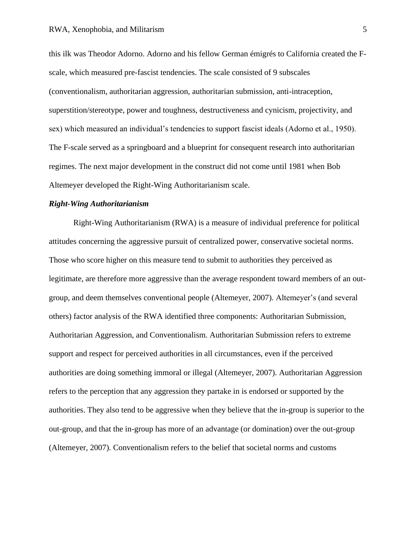this ilk was Theodor Adorno. Adorno and his fellow German émigrés to California created the Fscale, which measured pre-fascist tendencies. The scale consisted of 9 subscales (conventionalism, authoritarian aggression, authoritarian submission, anti-intraception, superstition/stereotype, power and toughness, destructiveness and cynicism, projectivity, and sex) which measured an individual's tendencies to support fascist ideals (Adorno et al., 1950). The F-scale served as a springboard and a blueprint for consequent research into authoritarian regimes. The next major development in the construct did not come until 1981 when Bob Altemeyer developed the Right-Wing Authoritarianism scale.

#### *Right-Wing Authoritarianism*

Right-Wing Authoritarianism (RWA) is a measure of individual preference for political attitudes concerning the aggressive pursuit of centralized power, conservative societal norms. Those who score higher on this measure tend to submit to authorities they perceived as legitimate, are therefore more aggressive than the average respondent toward members of an outgroup, and deem themselves conventional people (Altemeyer, 2007). Altemeyer's (and several others) factor analysis of the RWA identified three components: Authoritarian Submission, Authoritarian Aggression, and Conventionalism. Authoritarian Submission refers to extreme support and respect for perceived authorities in all circumstances, even if the perceived authorities are doing something immoral or illegal (Altemeyer, 2007). Authoritarian Aggression refers to the perception that any aggression they partake in is endorsed or supported by the authorities. They also tend to be aggressive when they believe that the in-group is superior to the out-group, and that the in-group has more of an advantage (or domination) over the out-group (Altemeyer, 2007). Conventionalism refers to the belief that societal norms and customs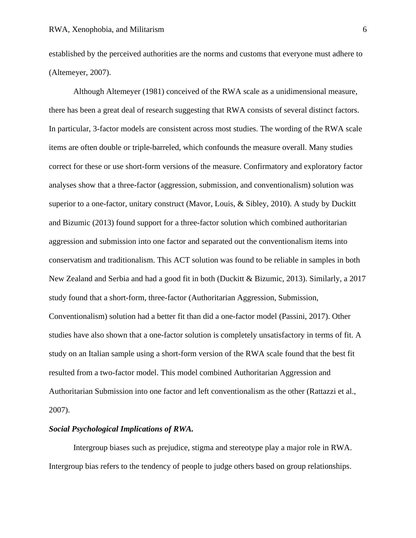established by the perceived authorities are the norms and customs that everyone must adhere to (Altemeyer, 2007).

Although Altemeyer (1981) conceived of the RWA scale as a unidimensional measure, there has been a great deal of research suggesting that RWA consists of several distinct factors. In particular, 3-factor models are consistent across most studies. The wording of the RWA scale items are often double or triple-barreled, which confounds the measure overall. Many studies correct for these or use short-form versions of the measure. Confirmatory and exploratory factor analyses show that a three-factor (aggression, submission, and conventionalism) solution was superior to a one-factor, unitary construct (Mavor, Louis, & Sibley, 2010). A study by Duckitt and Bizumic (2013) found support for a three-factor solution which combined authoritarian aggression and submission into one factor and separated out the conventionalism items into conservatism and traditionalism. This ACT solution was found to be reliable in samples in both New Zealand and Serbia and had a good fit in both (Duckitt & Bizumic, 2013). Similarly, a 2017 study found that a short-form, three-factor (Authoritarian Aggression, Submission, Conventionalism) solution had a better fit than did a one-factor model (Passini, 2017). Other studies have also shown that a one-factor solution is completely unsatisfactory in terms of fit. A study on an Italian sample using a short-form version of the RWA scale found that the best fit resulted from a two-factor model. This model combined Authoritarian Aggression and Authoritarian Submission into one factor and left conventionalism as the other (Rattazzi et al., 2007).

#### *Social Psychological Implications of RWA.*

Intergroup biases such as prejudice, stigma and stereotype play a major role in RWA. Intergroup bias refers to the tendency of people to judge others based on group relationships.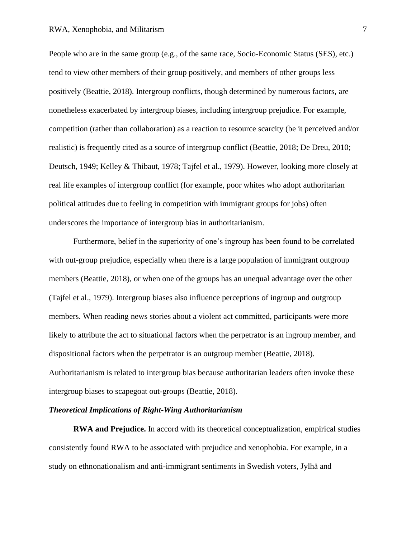People who are in the same group (e.g., of the same race, Socio-Economic Status (SES), etc.) tend to view other members of their group positively, and members of other groups less positively (Beattie, 2018). Intergroup conflicts, though determined by numerous factors, are nonetheless exacerbated by intergroup biases, including intergroup prejudice. For example, competition (rather than collaboration) as a reaction to resource scarcity (be it perceived and/or realistic) is frequently cited as a source of intergroup conflict (Beattie, 2018; De Dreu, 2010; Deutsch, 1949; Kelley & Thibaut, 1978; Tajfel et al., 1979). However, looking more closely at real life examples of intergroup conflict (for example, poor whites who adopt authoritarian political attitudes due to feeling in competition with immigrant groups for jobs) often underscores the importance of intergroup bias in authoritarianism.

Furthermore, belief in the superiority of one's ingroup has been found to be correlated with out-group prejudice, especially when there is a large population of immigrant outgroup members (Beattie, 2018), or when one of the groups has an unequal advantage over the other (Tajfel et al., 1979). Intergroup biases also influence perceptions of ingroup and outgroup members. When reading news stories about a violent act committed, participants were more likely to attribute the act to situational factors when the perpetrator is an ingroup member, and dispositional factors when the perpetrator is an outgroup member (Beattie, 2018). Authoritarianism is related to intergroup bias because authoritarian leaders often invoke these intergroup biases to scapegoat out-groups (Beattie, 2018).

#### *Theoretical Implications of Right-Wing Authoritarianism*

**RWA and Prejudice.** In accord with its theoretical conceptualization, empirical studies consistently found RWA to be associated with prejudice and xenophobia. For example, in a study on ethnonationalism and anti-immigrant sentiments in Swedish voters, Jylhä and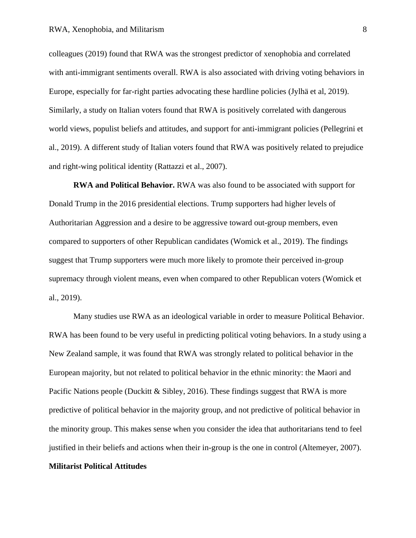colleagues (2019) found that RWA was the strongest predictor of xenophobia and correlated with anti-immigrant sentiments overall. RWA is also associated with driving voting behaviors in Europe, especially for far-right parties advocating these hardline policies (Jylhä et al, 2019). Similarly, a study on Italian voters found that RWA is positively correlated with dangerous world views, populist beliefs and attitudes, and support for anti-immigrant policies (Pellegrini et al., 2019). A different study of Italian voters found that RWA was positively related to prejudice and right-wing political identity (Rattazzi et al., 2007).

**RWA and Political Behavior.** RWA was also found to be associated with support for Donald Trump in the 2016 presidential elections. Trump supporters had higher levels of Authoritarian Aggression and a desire to be aggressive toward out-group members, even compared to supporters of other Republican candidates (Womick et al., 2019). The findings suggest that Trump supporters were much more likely to promote their perceived in-group supremacy through violent means, even when compared to other Republican voters (Womick et al., 2019).

Many studies use RWA as an ideological variable in order to measure Political Behavior. RWA has been found to be very useful in predicting political voting behaviors. In a study using a New Zealand sample, it was found that RWA was strongly related to political behavior in the European majority, but not related to political behavior in the ethnic minority: the Maori and Pacific Nations people (Duckitt & Sibley, 2016). These findings suggest that RWA is more predictive of political behavior in the majority group, and not predictive of political behavior in the minority group. This makes sense when you consider the idea that authoritarians tend to feel justified in their beliefs and actions when their in-group is the one in control (Altemeyer, 2007).

#### **Militarist Political Attitudes**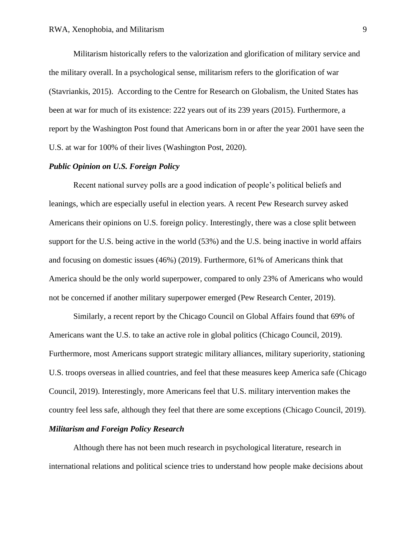Militarism historically refers to the valorization and glorification of military service and the military overall. In a psychological sense, militarism refers to the glorification of war (Stavriankis, 2015). According to the Centre for Research on Globalism, the United States has been at war for much of its existence: 222 years out of its 239 years (2015). Furthermore, a report by the Washington Post found that Americans born in or after the year 2001 have seen the U.S. at war for 100% of their lives (Washington Post, 2020).

#### *Public Opinion on U.S. Foreign Policy*

Recent national survey polls are a good indication of people's political beliefs and leanings, which are especially useful in election years. A recent Pew Research survey asked Americans their opinions on U.S. foreign policy. Interestingly, there was a close split between support for the U.S. being active in the world (53%) and the U.S. being inactive in world affairs and focusing on domestic issues (46%) (2019). Furthermore, 61% of Americans think that America should be the only world superpower, compared to only 23% of Americans who would not be concerned if another military superpower emerged (Pew Research Center, 2019).

Similarly, a recent report by the Chicago Council on Global Affairs found that 69% of Americans want the U.S. to take an active role in global politics (Chicago Council, 2019). Furthermore, most Americans support strategic military alliances, military superiority, stationing U.S. troops overseas in allied countries, and feel that these measures keep America safe (Chicago Council, 2019). Interestingly, more Americans feel that U.S. military intervention makes the country feel less safe, although they feel that there are some exceptions (Chicago Council, 2019).

#### *Militarism and Foreign Policy Research*

Although there has not been much research in psychological literature, research in international relations and political science tries to understand how people make decisions about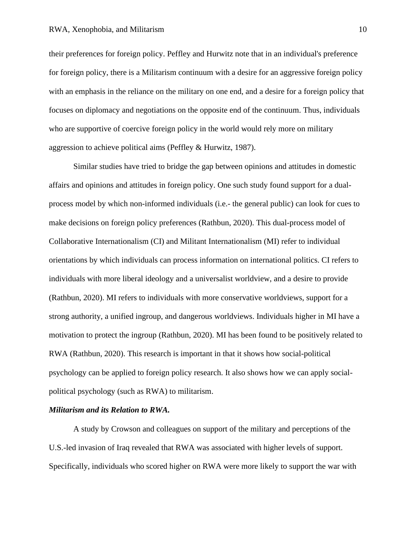their preferences for foreign policy. Peffley and Hurwitz note that in an individual's preference for foreign policy, there is a Militarism continuum with a desire for an aggressive foreign policy with an emphasis in the reliance on the military on one end, and a desire for a foreign policy that focuses on diplomacy and negotiations on the opposite end of the continuum. Thus, individuals who are supportive of coercive foreign policy in the world would rely more on military aggression to achieve political aims (Peffley & Hurwitz, 1987).

Similar studies have tried to bridge the gap between opinions and attitudes in domestic affairs and opinions and attitudes in foreign policy. One such study found support for a dualprocess model by which non-informed individuals (i.e.- the general public) can look for cues to make decisions on foreign policy preferences (Rathbun, 2020). This dual-process model of Collaborative Internationalism (CI) and Militant Internationalism (MI) refer to individual orientations by which individuals can process information on international politics. CI refers to individuals with more liberal ideology and a universalist worldview, and a desire to provide (Rathbun, 2020). MI refers to individuals with more conservative worldviews, support for a strong authority, a unified ingroup, and dangerous worldviews. Individuals higher in MI have a motivation to protect the ingroup (Rathbun, 2020). MI has been found to be positively related to RWA (Rathbun, 2020). This research is important in that it shows how social-political psychology can be applied to foreign policy research. It also shows how we can apply socialpolitical psychology (such as RWA) to militarism.

#### *Militarism and its Relation to RWA.*

A study by Crowson and colleagues on support of the military and perceptions of the U.S.-led invasion of Iraq revealed that RWA was associated with higher levels of support. Specifically, individuals who scored higher on RWA were more likely to support the war with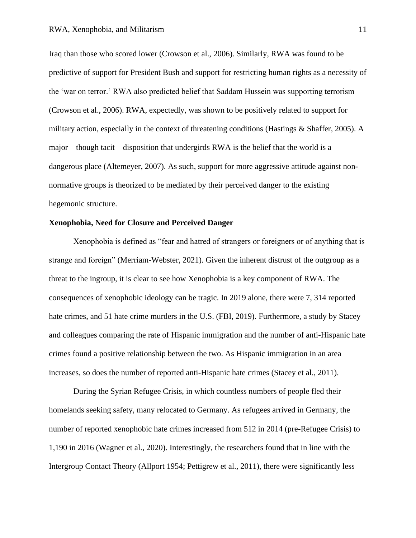Iraq than those who scored lower (Crowson et al., 2006). Similarly, RWA was found to be predictive of support for President Bush and support for restricting human rights as a necessity of the 'war on terror.' RWA also predicted belief that Saddam Hussein was supporting terrorism (Crowson et al., 2006). RWA, expectedly, was shown to be positively related to support for military action, especially in the context of threatening conditions (Hastings & Shaffer, 2005). A major – though tacit – disposition that undergirds RWA is the belief that the world is a dangerous place (Altemeyer, 2007). As such, support for more aggressive attitude against nonnormative groups is theorized to be mediated by their perceived danger to the existing hegemonic structure.

#### **Xenophobia, Need for Closure and Perceived Danger**

Xenophobia is defined as "fear and hatred of strangers or foreigners or of anything that is strange and foreign" (Merriam-Webster, 2021). Given the inherent distrust of the outgroup as a threat to the ingroup, it is clear to see how Xenophobia is a key component of RWA. The consequences of xenophobic ideology can be tragic. In 2019 alone, there were 7, 314 reported hate crimes, and 51 hate crime murders in the U.S. (FBI, 2019). Furthermore, a study by Stacey and colleagues comparing the rate of Hispanic immigration and the number of anti-Hispanic hate crimes found a positive relationship between the two. As Hispanic immigration in an area increases, so does the number of reported anti-Hispanic hate crimes (Stacey et al., 2011).

During the Syrian Refugee Crisis, in which countless numbers of people fled their homelands seeking safety, many relocated to Germany. As refugees arrived in Germany, the number of reported xenophobic hate crimes increased from 512 in 2014 (pre-Refugee Crisis) to 1,190 in 2016 (Wagner et al., 2020). Interestingly, the researchers found that in line with the Intergroup Contact Theory (Allport 1954; Pettigrew et al., 2011), there were significantly less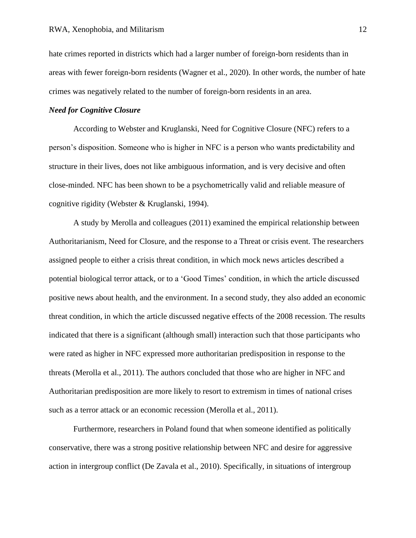hate crimes reported in districts which had a larger number of foreign-born residents than in areas with fewer foreign-born residents (Wagner et al., 2020). In other words, the number of hate crimes was negatively related to the number of foreign-born residents in an area.

#### *Need for Cognitive Closure*

According to Webster and Kruglanski, Need for Cognitive Closure (NFC) refers to a person's disposition. Someone who is higher in NFC is a person who wants predictability and structure in their lives, does not like ambiguous information, and is very decisive and often close-minded. NFC has been shown to be a psychometrically valid and reliable measure of cognitive rigidity (Webster & Kruglanski, 1994).

A study by Merolla and colleagues (2011) examined the empirical relationship between Authoritarianism, Need for Closure, and the response to a Threat or crisis event. The researchers assigned people to either a crisis threat condition, in which mock news articles described a potential biological terror attack, or to a 'Good Times' condition, in which the article discussed positive news about health, and the environment. In a second study, they also added an economic threat condition, in which the article discussed negative effects of the 2008 recession. The results indicated that there is a significant (although small) interaction such that those participants who were rated as higher in NFC expressed more authoritarian predisposition in response to the threats (Merolla et al., 2011). The authors concluded that those who are higher in NFC and Authoritarian predisposition are more likely to resort to extremism in times of national crises such as a terror attack or an economic recession (Merolla et al., 2011).

Furthermore, researchers in Poland found that when someone identified as politically conservative, there was a strong positive relationship between NFC and desire for aggressive action in intergroup conflict (De Zavala et al., 2010). Specifically, in situations of intergroup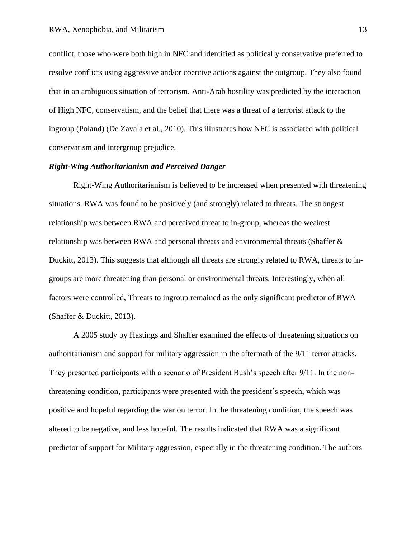conflict, those who were both high in NFC and identified as politically conservative preferred to resolve conflicts using aggressive and/or coercive actions against the outgroup. They also found that in an ambiguous situation of terrorism, Anti-Arab hostility was predicted by the interaction of High NFC, conservatism, and the belief that there was a threat of a terrorist attack to the ingroup (Poland) (De Zavala et al., 2010). This illustrates how NFC is associated with political conservatism and intergroup prejudice.

#### *Right-Wing Authoritarianism and Perceived Danger*

Right-Wing Authoritarianism is believed to be increased when presented with threatening situations. RWA was found to be positively (and strongly) related to threats. The strongest relationship was between RWA and perceived threat to in-group, whereas the weakest relationship was between RWA and personal threats and environmental threats (Shaffer & Duckitt, 2013). This suggests that although all threats are strongly related to RWA, threats to ingroups are more threatening than personal or environmental threats. Interestingly, when all factors were controlled, Threats to ingroup remained as the only significant predictor of RWA (Shaffer & Duckitt, 2013).

A 2005 study by Hastings and Shaffer examined the effects of threatening situations on authoritarianism and support for military aggression in the aftermath of the 9/11 terror attacks. They presented participants with a scenario of President Bush's speech after 9/11. In the nonthreatening condition, participants were presented with the president's speech, which was positive and hopeful regarding the war on terror. In the threatening condition, the speech was altered to be negative, and less hopeful. The results indicated that RWA was a significant predictor of support for Military aggression, especially in the threatening condition. The authors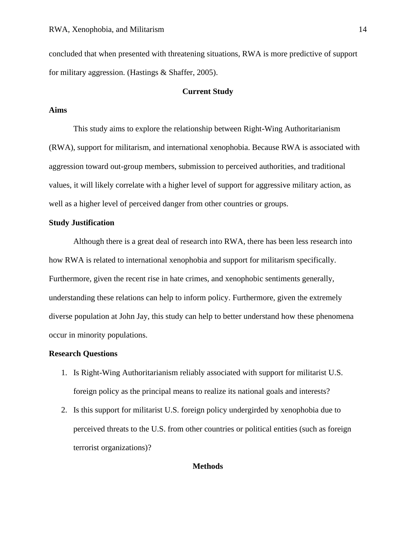concluded that when presented with threatening situations, RWA is more predictive of support for military aggression. (Hastings & Shaffer, 2005).

#### **Current Study**

#### **Aims**

This study aims to explore the relationship between Right-Wing Authoritarianism (RWA), support for militarism, and international xenophobia. Because RWA is associated with aggression toward out-group members, submission to perceived authorities, and traditional values, it will likely correlate with a higher level of support for aggressive military action, as well as a higher level of perceived danger from other countries or groups.

#### **Study Justification**

Although there is a great deal of research into RWA, there has been less research into how RWA is related to international xenophobia and support for militarism specifically. Furthermore, given the recent rise in hate crimes, and xenophobic sentiments generally, understanding these relations can help to inform policy. Furthermore, given the extremely diverse population at John Jay, this study can help to better understand how these phenomena occur in minority populations.

#### **Research Questions**

- 1. Is Right-Wing Authoritarianism reliably associated with support for militarist U.S. foreign policy as the principal means to realize its national goals and interests?
- 2. Is this support for militarist U.S. foreign policy undergirded by xenophobia due to perceived threats to the U.S. from other countries or political entities (such as foreign terrorist organizations)?

#### **Methods**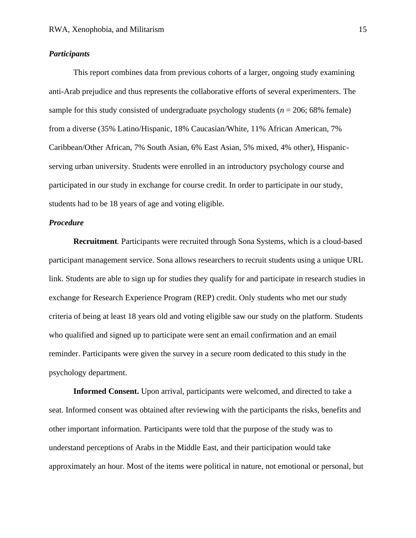#### *Participants*

This report combines data from previous cohorts of a larger, ongoing study examining anti-Arab prejudice and thus represents the collaborative efforts of several experimenters. The sample for this study consisted of undergraduate psychology students ( $n = 206$ ; 68% female) from a diverse (35% Latino/Hispanic, 18% Caucasian/White, 11% African American, 7% Caribbean/Other African, 7% South Asian, 6% East Asian, 5% mixed, 4% other), Hispanicserving urban university. Students were enrolled in an introductory psychology course and participated in our study in exchange for course credit. In order to participate in our study, students had to be 18 years of age and voting eligible.

#### *Procedure*

**Recruitment***.* Participants were recruited through Sona Systems, which is a cloud-based participant management service. Sona allows researchers to recruit students using a unique URL link. Students are able to sign up for studies they qualify for and participate in research studies in exchange for Research Experience Program (REP) credit. Only students who met our study criteria of being at least 18 years old and voting eligible saw our study on the platform. Students who qualified and signed up to participate were sent an email confirmation and an email reminder. Participants were given the survey in a secure room dedicated to this study in the psychology department.

**Informed Consent.** Upon arrival, participants were welcomed, and directed to take a seat. Informed consent was obtained after reviewing with the participants the risks, benefits and other important information. Participants were told that the purpose of the study was to understand perceptions of Arabs in the Middle East, and their participation would take approximately an hour. Most of the items were political in nature, not emotional or personal, but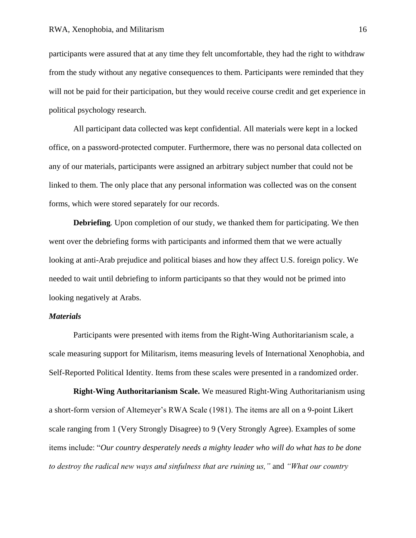participants were assured that at any time they felt uncomfortable, they had the right to withdraw from the study without any negative consequences to them. Participants were reminded that they will not be paid for their participation, but they would receive course credit and get experience in political psychology research.

All participant data collected was kept confidential. All materials were kept in a locked office, on a password-protected computer. Furthermore, there was no personal data collected on any of our materials, participants were assigned an arbitrary subject number that could not be linked to them. The only place that any personal information was collected was on the consent forms, which were stored separately for our records.

**Debriefing***.* Upon completion of our study, we thanked them for participating. We then went over the debriefing forms with participants and informed them that we were actually looking at anti-Arab prejudice and political biases and how they affect U.S. foreign policy. We needed to wait until debriefing to inform participants so that they would not be primed into looking negatively at Arabs.

#### *Materials*

Participants were presented with items from the Right-Wing Authoritarianism scale, a scale measuring support for Militarism, items measuring levels of International Xenophobia, and Self-Reported Political Identity. Items from these scales were presented in a randomized order.

**Right-Wing Authoritarianism Scale.** We measured Right-Wing Authoritarianism using a short-form version of Altemeyer's RWA Scale (1981). The items are all on a 9-point Likert scale ranging from 1 (Very Strongly Disagree) to 9 (Very Strongly Agree). Examples of some items include: "*Our country desperately needs a mighty leader who will do what has to be done to destroy the radical new ways and sinfulness that are ruining us,"* and *"What our country*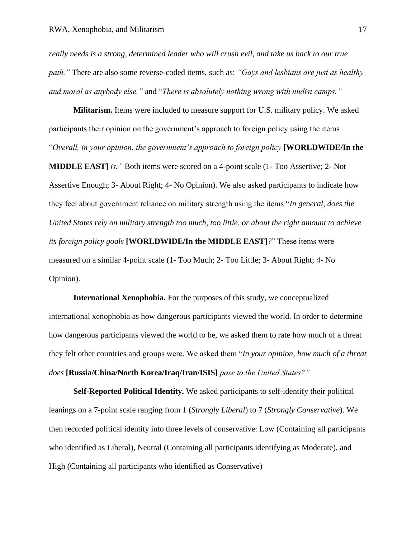*really needs is a strong, determined leader who will crush evil, and take us back to our true path."* There are also some reverse-coded items, such as: *"Gays and lesbians are just as healthy and moral as anybody else,"* and "*There is absolutely nothing wrong with nudist camps."*

**Militarism.** Items were included to measure support for U.S. military policy. We asked participants their opinion on the government's approach to foreign policy using the items "*Overall, in your opinion, the government's approach to foreign policy* **[WORLDWIDE/In the MIDDLE EAST]** *is."* Both items were scored on a 4-point scale (1- Too Assertive; 2- Not Assertive Enough; 3- About Right; 4- No Opinion). We also asked participants to indicate how they feel about government reliance on military strength using the items "*In general, does the United States rely on military strength too much, too little, or about the right amount to achieve its foreign policy goals* **[WORLDWIDE/In the MIDDLE EAST]***?*" These items were measured on a similar 4-point scale (1- Too Much; 2- Too Little; 3- About Right; 4- No Opinion).

**International Xenophobia.** For the purposes of this study, we conceptualized international xenophobia as how dangerous participants viewed the world. In order to determine how dangerous participants viewed the world to be, we asked them to rate how much of a threat they felt other countries and groups were. We asked them "*In your opinion, how much of a threat does* **[Russia/China/North Korea/Iraq/Iran/ISIS]** *pose to the United States?"*

**Self-Reported Political Identity.** We asked participants to self-identify their political leanings on a 7-point scale ranging from 1 (*Strongly Liberal*) to 7 (*Strongly Conservative*). We then recorded political identity into three levels of conservative: Low (Containing all participants who identified as Liberal), Neutral (Containing all participants identifying as Moderate), and High (Containing all participants who identified as Conservative)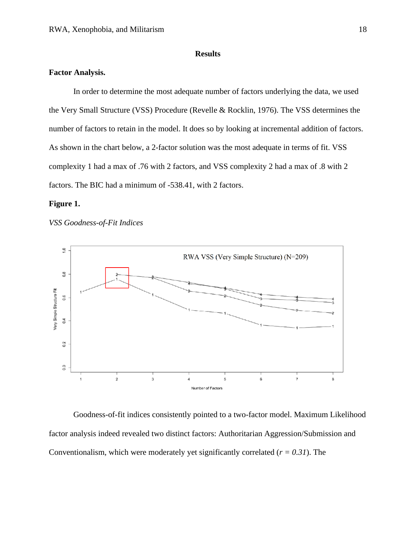#### **Results**

## **Factor Analysis.**

In order to determine the most adequate number of factors underlying the data, we used the Very Small Structure (VSS) Procedure (Revelle & Rocklin, 1976). The VSS determines the number of factors to retain in the model. It does so by looking at incremental addition of factors. As shown in the chart below, a 2-factor solution was the most adequate in terms of fit. VSS complexity 1 had a max of .76 with 2 factors, and VSS complexity 2 had a max of .8 with 2 factors. The BIC had a minimum of -538.41, with 2 factors.

#### **Figure 1.**

*VSS Goodness-of-Fit Indices*



Goodness-of-fit indices consistently pointed to a two-factor model. Maximum Likelihood factor analysis indeed revealed two distinct factors: Authoritarian Aggression/Submission and Conventionalism, which were moderately yet significantly correlated  $(r = 0.31)$ . The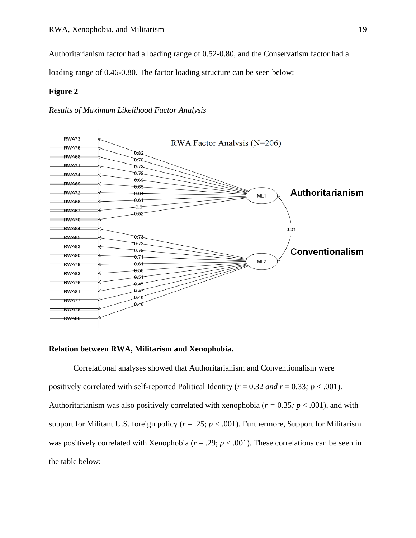Authoritarianism factor had a loading range of 0.52-0.80, and the Conservatism factor had a

loading range of 0.46-0.80. The factor loading structure can be seen below:

#### **Figure 2**

*Results of Maximum Likelihood Factor Analysis*



#### **Relation between RWA, Militarism and Xenophobia.**

Correlational analyses showed that Authoritarianism and Conventionalism were positively correlated with self-reported Political Identity ( $r = 0.32$  *and*  $r = 0.33$ ;  $p < .001$ ). Authoritarianism was also positively correlated with xenophobia (*r =* 0.35*; p* < .001), and with support for Militant U.S. foreign policy ( $r = .25$ ;  $p < .001$ ). Furthermore, Support for Militarism was positively correlated with Xenophobia ( $r = .29$ ;  $p < .001$ ). These correlations can be seen in the table below: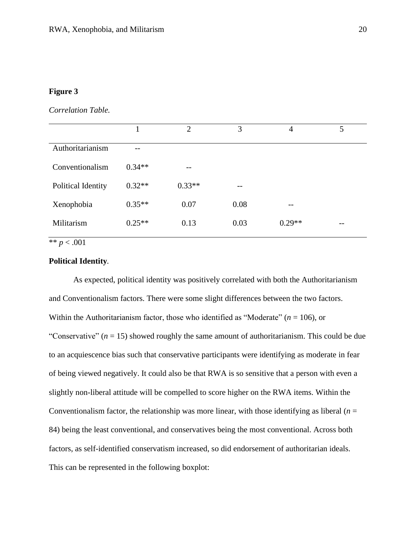## **Figure 3**

*Correlation Table.*

|                    | 1        | 2        | 3    | $\overline{4}$ | 5     |
|--------------------|----------|----------|------|----------------|-------|
| Authoritarianism   |          |          |      |                |       |
| Conventionalism    | $0.34**$ | --       |      |                |       |
| Political Identity | $0.32**$ | $0.33**$ | --   |                |       |
| Xenophobia         | $0.35**$ | 0.07     | 0.08 | --             |       |
| Militarism         | $0.25**$ | 0.13     | 0.03 | $0.29**$       | $- -$ |

\*\* *p* < .001

## **Political Identity***.*

As expected, political identity was positively correlated with both the Authoritarianism and Conventionalism factors. There were some slight differences between the two factors. Within the Authoritarianism factor, those who identified as "Moderate" (*n* = 106), or "Conservative"  $(n = 15)$  showed roughly the same amount of authoritarianism. This could be due to an acquiescence bias such that conservative participants were identifying as moderate in fear of being viewed negatively. It could also be that RWA is so sensitive that a person with even a slightly non-liberal attitude will be compelled to score higher on the RWA items. Within the Conventionalism factor, the relationship was more linear, with those identifying as liberal  $(n =$ 84) being the least conventional, and conservatives being the most conventional. Across both factors, as self-identified conservatism increased, so did endorsement of authoritarian ideals. This can be represented in the following boxplot: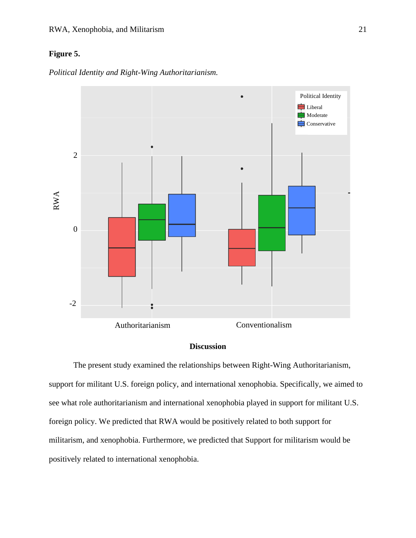## **Figure 5.**

*Political Identity and Right-Wing Authoritarianism.*



## **Discussion**

The present study examined the relationships between Right-Wing Authoritarianism, support for militant U.S. foreign policy, and international xenophobia. Specifically, we aimed to see what role authoritarianism and international xenophobia played in support for militant U.S. foreign policy. We predicted that RWA would be positively related to both support for militarism, and xenophobia. Furthermore, we predicted that Support for militarism would be positively related to international xenophobia.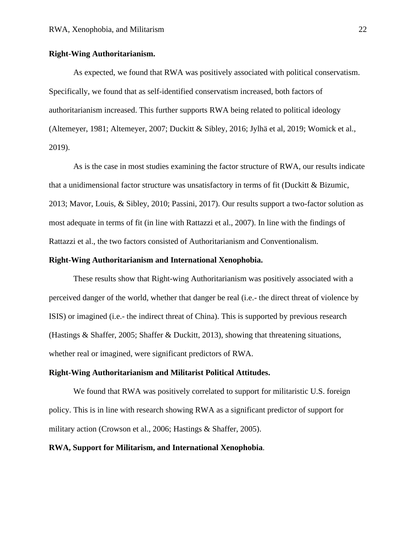#### **Right-Wing Authoritarianism.**

As expected, we found that RWA was positively associated with political conservatism. Specifically, we found that as self-identified conservatism increased, both factors of authoritarianism increased. This further supports RWA being related to political ideology (Altemeyer, 1981; Altemeyer, 2007; Duckitt & Sibley, 2016; Jylhä et al, 2019; Womick et al., 2019).

As is the case in most studies examining the factor structure of RWA, our results indicate that a unidimensional factor structure was unsatisfactory in terms of fit (Duckitt  $\&$  Bizumic, 2013; Mavor, Louis, & Sibley, 2010; Passini, 2017). Our results support a two-factor solution as most adequate in terms of fit (in line with Rattazzi et al., 2007). In line with the findings of Rattazzi et al., the two factors consisted of Authoritarianism and Conventionalism.

#### **Right-Wing Authoritarianism and International Xenophobia.**

These results show that Right-wing Authoritarianism was positively associated with a perceived danger of the world, whether that danger be real (i.e.- the direct threat of violence by ISIS) or imagined (i.e.- the indirect threat of China). This is supported by previous research (Hastings & Shaffer, 2005; Shaffer & Duckitt, 2013), showing that threatening situations, whether real or imagined, were significant predictors of RWA.

#### **Right-Wing Authoritarianism and Militarist Political Attitudes.**

We found that RWA was positively correlated to support for militaristic U.S. foreign policy. This is in line with research showing RWA as a significant predictor of support for military action (Crowson et al., 2006; Hastings & Shaffer, 2005).

#### **RWA, Support for Militarism, and International Xenophobia***.*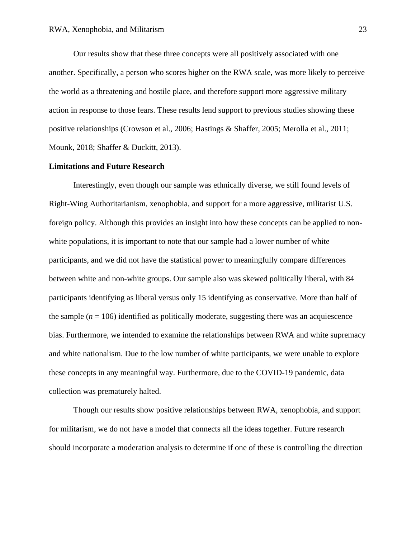Our results show that these three concepts were all positively associated with one another. Specifically, a person who scores higher on the RWA scale, was more likely to perceive the world as a threatening and hostile place, and therefore support more aggressive military action in response to those fears. These results lend support to previous studies showing these positive relationships (Crowson et al., 2006; Hastings & Shaffer, 2005; Merolla et al., 2011; Mounk, 2018; Shaffer & Duckitt, 2013).

#### **Limitations and Future Research**

Interestingly, even though our sample was ethnically diverse, we still found levels of Right-Wing Authoritarianism, xenophobia, and support for a more aggressive, militarist U.S. foreign policy. Although this provides an insight into how these concepts can be applied to nonwhite populations, it is important to note that our sample had a lower number of white participants, and we did not have the statistical power to meaningfully compare differences between white and non-white groups. Our sample also was skewed politically liberal, with 84 participants identifying as liberal versus only 15 identifying as conservative. More than half of the sample  $(n = 106)$  identified as politically moderate, suggesting there was an acquiescence bias. Furthermore, we intended to examine the relationships between RWA and white supremacy and white nationalism. Due to the low number of white participants, we were unable to explore these concepts in any meaningful way. Furthermore, due to the COVID-19 pandemic, data collection was prematurely halted.

Though our results show positive relationships between RWA, xenophobia, and support for militarism, we do not have a model that connects all the ideas together. Future research should incorporate a moderation analysis to determine if one of these is controlling the direction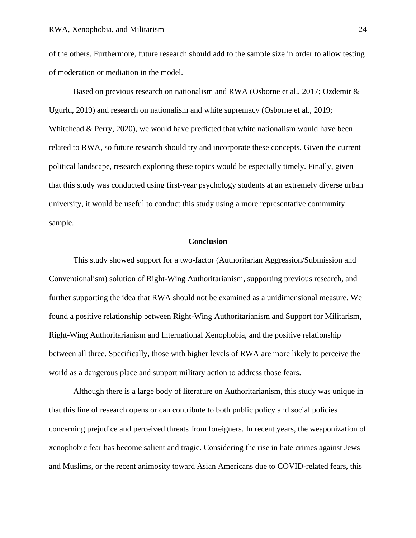of the others. Furthermore, future research should add to the sample size in order to allow testing of moderation or mediation in the model.

Based on previous research on nationalism and RWA (Osborne et al., 2017; Ozdemir & Ugurlu, 2019) and research on nationalism and white supremacy (Osborne et al., 2019; Whitehead & Perry, 2020), we would have predicted that white nationalism would have been related to RWA, so future research should try and incorporate these concepts. Given the current political landscape, research exploring these topics would be especially timely. Finally, given that this study was conducted using first-year psychology students at an extremely diverse urban university, it would be useful to conduct this study using a more representative community sample.

#### **Conclusion**

This study showed support for a two-factor (Authoritarian Aggression/Submission and Conventionalism) solution of Right-Wing Authoritarianism, supporting previous research, and further supporting the idea that RWA should not be examined as a unidimensional measure. We found a positive relationship between Right-Wing Authoritarianism and Support for Militarism, Right-Wing Authoritarianism and International Xenophobia, and the positive relationship between all three. Specifically, those with higher levels of RWA are more likely to perceive the world as a dangerous place and support military action to address those fears.

Although there is a large body of literature on Authoritarianism, this study was unique in that this line of research opens or can contribute to both public policy and social policies concerning prejudice and perceived threats from foreigners. In recent years, the weaponization of xenophobic fear has become salient and tragic. Considering the rise in hate crimes against Jews and Muslims, or the recent animosity toward Asian Americans due to COVID-related fears, this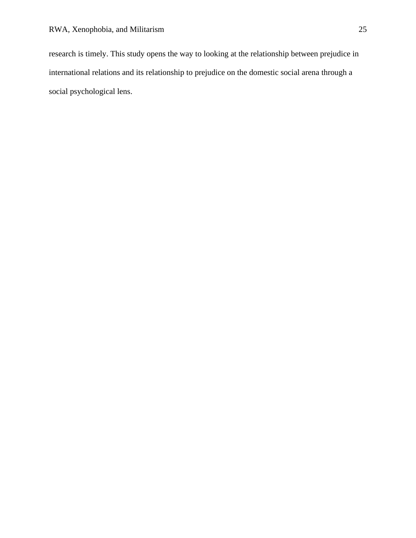research is timely. This study opens the way to looking at the relationship between prejudice in international relations and its relationship to prejudice on the domestic social arena through a social psychological lens.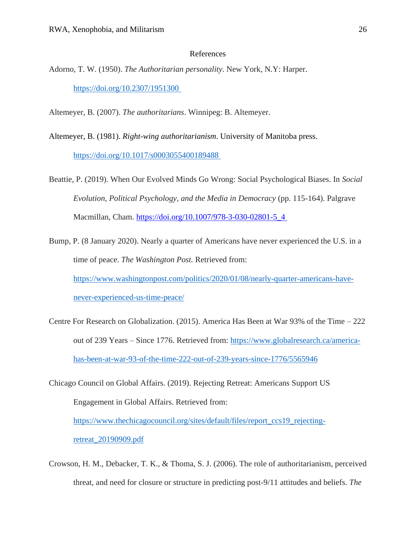#### References

- Adorno, T. W. (1950). *The Authoritarian personality*. New York, N.Y: Harper. [https://doi.org/10.2307/1951300](https://doi.org/10.2307/1951300 )
- Altemeyer, B. (2007). *The authoritarians*. Winnipeg: B. Altemeyer.
- Altemeyer, B. (1981). *Right-wing authoritarianism*. University of Manitoba press. [https://doi.org/10.1017/s0003055400189488](https://doi.org/10.1017/s0003055400189488 )
- Beattie, P. (2019). When Our Evolved Minds Go Wrong: Social Psychological Biases. In *Social Evolution, Political Psychology, and the Media in Democracy* (pp. 115-164). Palgrave Macmillan, Cham. [https://doi.org/10.1007/978-3-030-02801-5\\_4](https://doi.org/10.1007/978-3-030-02801-5_4)
- Bump, P. (8 January 2020). Nearly a quarter of Americans have never experienced the U.S. in a time of peace. *The Washington Post.* Retrieved from: [https://www.washingtonpost.com/politics/2020/01/08/nearly-quarter-americans-have](https://www.washingtonpost.com/politics/2020/01/08/nearly-quarter-americans-have-never-experienced-us-time-peace/)[never-experienced-us-time-peace/](https://www.washingtonpost.com/politics/2020/01/08/nearly-quarter-americans-have-never-experienced-us-time-peace/)
- Centre For Research on Globalization. (2015). America Has Been at War 93% of the Time 222 out of 239 Years – Since 1776. Retrieved from: [https://www.globalresearch.ca/america](https://www.globalresearch.ca/america-has-been-at-war-93-of-the-time-222-out-of-239-years-since-1776/5565946)[has-been-at-war-93-of-the-time-222-out-of-239-years-since-1776/5565946](https://www.globalresearch.ca/america-has-been-at-war-93-of-the-time-222-out-of-239-years-since-1776/5565946)
- Chicago Council on Global Affairs. (2019). Rejecting Retreat: Americans Support US Engagement in Global Affairs. Retrieved from:
	- [https://www.thechicagocouncil.org/sites/default/files/report\\_ccs19\\_rejecting-](https://www.thechicagocouncil.org/sites/default/files/report_ccs19_rejecting-retreat_20190909.pdf)

[retreat\\_20190909.pdf](https://www.thechicagocouncil.org/sites/default/files/report_ccs19_rejecting-retreat_20190909.pdf)

Crowson, H. M., Debacker, T. K., & Thoma, S. J. (2006). The role of authoritarianism, perceived threat, and need for closure or structure in predicting post-9/11 attitudes and beliefs. *The*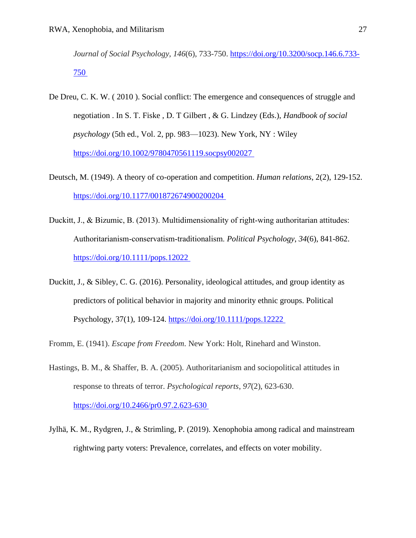*Journal of Social Psychology*, *146*(6), 733-750. [https://doi.org/10.3200/socp.146.6.733-](https://doi.org/10.3200/socp.146.6.733-750) [750](https://doi.org/10.3200/socp.146.6.733-750)

- De Dreu, C. K. W. ( 2010 ). Social conflict: The emergence and consequences of struggle and negotiation . In S. T. Fiske , D. T Gilbert , & G. Lindzey (Eds.), *Handbook of social psychology* (5th ed., Vol. 2, pp. 983—1023). New York, NY : Wiley <https://doi.org/10.1002/9780470561119.socpsy002027>
- Deutsch, M. (1949). A theory of co-operation and competition. *Human relations*, 2(2), 129-152. <https://doi.org/10.1177/001872674900200204>
- Duckitt, J., & Bizumic, B. (2013). Multidimensionality of right-wing authoritarian attitudes: Authoritarianism‐conservatism‐traditionalism. *Political Psychology*, *34*(6), 841-862. <https://doi.org/10.1111/pops.12022>
- Duckitt, J., & Sibley, C. G. (2016). Personality, ideological attitudes, and group identity as predictors of political behavior in majority and minority ethnic groups. Political Psychology, 37(1), 109-124.<https://doi.org/10.1111/pops.12222>
- Fromm, E. (1941). *Escape from Freedom*. New York: Holt, Rinehard and Winston.
- Hastings, B. M., & Shaffer, B. A. (2005). Authoritarianism and sociopolitical attitudes in response to threats of terror. *Psychological reports*, *97*(2), 623-630. <https://doi.org/10.2466/pr0.97.2.623-630>
- Jylhä, K. M., Rydgren, J., & Strimling, P. (2019). Xenophobia among radical and mainstream rightwing party voters: Prevalence, correlates, and effects on voter mobility.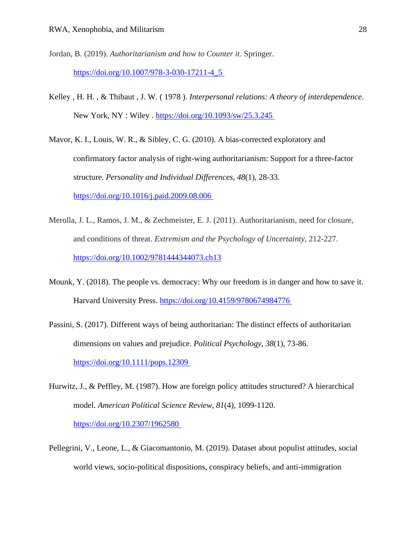- Jordan, B. (2019). *Authoritarianism and how to Counter it*. Springer. [https://doi.org/10.1007/978-3-030-17211-4\\_5](https://doi.org/10.1007/978-3-030-17211-4_5)
- Kelley , H. H. , & Thibaut , J. W. ( 1978 ). *Interpersonal relations: A theory of interdependence*. New York, NY : Wiley .<https://doi.org/10.1093/sw/25.3.245>

Mavor, K. I., Louis, W. R., & Sibley, C. G. (2010). A bias-corrected exploratory and confirmatory factor analysis of right-wing authoritarianism: Support for a three-factor structure. *Personality and Individual Differences*, *48*(1), 28-33. <https://doi.org/10.1016/j.paid.2009.08.006>

- Merolla, J. L., Ramos, J. M., & Zechmeister, E. J. (2011). Authoritarianism, need for closure, and conditions of threat. *Extremism and the Psychology of Uncertainty*, 212-227. <https://doi.org/10.1002/9781444344073.ch13>
- Mounk, Y. (2018). The people vs. democracy: Why our freedom is in danger and how to save it. Harvard University Press.<https://doi.org/10.4159/9780674984776>
- Passini, S. (2017). Different ways of being authoritarian: The distinct effects of authoritarian dimensions on values and prejudice. *Political Psychology*, *38*(1), 73-86. <https://doi.org/10.1111/pops.12309>
- Hurwitz, J., & Peffley, M. (1987). How are foreign policy attitudes structured? A hierarchical model. *American Political Science Review*, *81*(4), 1099-1120. <https://doi.org/10.2307/1962580>
- Pellegrini, V., Leone, L., & Giacomantonio, M. (2019). Dataset about populist attitudes, social world views, socio-political dispositions, conspiracy beliefs, and anti-immigration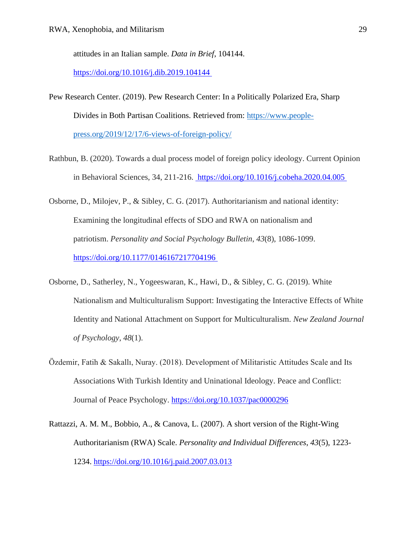attitudes in an Italian sample. *Data in Brief*, 104144.

<https://doi.org/10.1016/j.dib.2019.104144>

- Pew Research Center. (2019). Pew Research Center: In a Politically Polarized Era, Sharp Divides in Both Partisan Coalitions. Retrieved from: [https://www.people](https://www.people-press.org/2019/12/17/6-views-of-foreign-policy/)[press.org/2019/12/17/6-views-of-foreign-policy/](https://www.people-press.org/2019/12/17/6-views-of-foreign-policy/)
- Rathbun, B. (2020). Towards a dual process model of foreign policy ideology. Current Opinion in Behavioral Sciences, 34, 211-216.<https://doi.org/10.1016/j.cobeha.2020.04.005>
- Osborne, D., Milojev, P., & Sibley, C. G. (2017). Authoritarianism and national identity: Examining the longitudinal effects of SDO and RWA on nationalism and patriotism. *Personality and Social Psychology Bulletin*, *43*(8), 1086-1099. <https://doi.org/10.1177/0146167217704196>
- Osborne, D., Satherley, N., Yogeeswaran, K., Hawi, D., & Sibley, C. G. (2019). White Nationalism and Multiculturalism Support: Investigating the Interactive Effects of White Identity and National Attachment on Support for Multiculturalism. *New Zealand Journal of Psychology*, *48*(1).
- Özdemir, Fatih & Sakallı, Nuray. (2018). Development of Militaristic Attitudes Scale and Its Associations With Turkish Identity and Uninational Ideology. Peace and Conflict: Journal of Peace Psychology. [https://doi.org/10.1037/pac0000296](https://doi.apa.org/doi/10.1037/pac0000296)
- Rattazzi, A. M. M., Bobbio, A., & Canova, L. (2007). A short version of the Right-Wing Authoritarianism (RWA) Scale. *Personality and Individual Differences*, *43*(5), 1223- 1234.<https://doi.org/10.1016/j.paid.2007.03.013>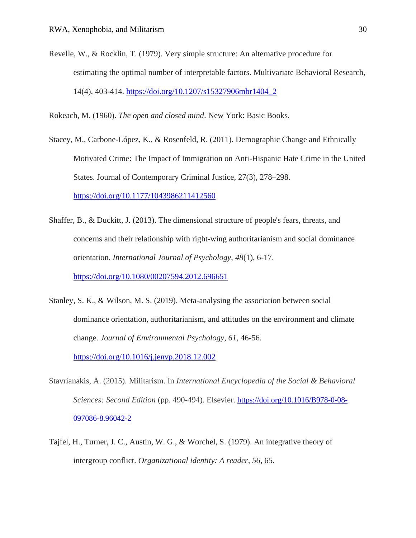Revelle, W., & Rocklin, T. (1979). Very simple structure: An alternative procedure for estimating the optimal number of interpretable factors. Multivariate Behavioral Research, 14(4), 403-414. [https://doi.org/10.1207/s15327906mbr1404\\_2](https://doi.org/10.1207/s15327906mbr1404_2)

Rokeach, M. (1960). *The open and closed mind*. New York: Basic Books.

- Stacey, M., Carbone-López, K., & Rosenfeld, R. (2011). Demographic Change and Ethnically Motivated Crime: The Impact of Immigration on Anti-Hispanic Hate Crime in the United States. Journal of Contemporary Criminal Justice, 27(3), 278–298. <https://doi.org/10.1177/1043986211412560>
- Shaffer, B., & Duckitt, J. (2013). The dimensional structure of people's fears, threats, and concerns and their relationship with right-wing authoritarianism and social dominance orientation. *International Journal of Psychology*, *48*(1), 6-17. <https://doi.org/10.1080/00207594.2012.696651>
- Stanley, S. K., & Wilson, M. S. (2019). Meta-analysing the association between social dominance orientation, authoritarianism, and attitudes on the environment and climate change. *Journal of Environmental Psychology*, *61*, 46-56. <https://doi.org/10.1016/j.jenvp.2018.12.002>
- Stavrianakis, A. (2015). Militarism. In *International Encyclopedia of the Social & Behavioral Sciences: Second Edition* (pp. 490-494). Elsevier. [https://doi.org/10.1016/B978-0-08-](https://doi.org/10.1016/B978-0-08-097086-8.96042-2) [097086-8.96042-2](https://doi.org/10.1016/B978-0-08-097086-8.96042-2)
- Tajfel, H., Turner, J. C., Austin, W. G., & Worchel, S. (1979). An integrative theory of intergroup conflict. *Organizational identity: A reader*, *56*, 65.